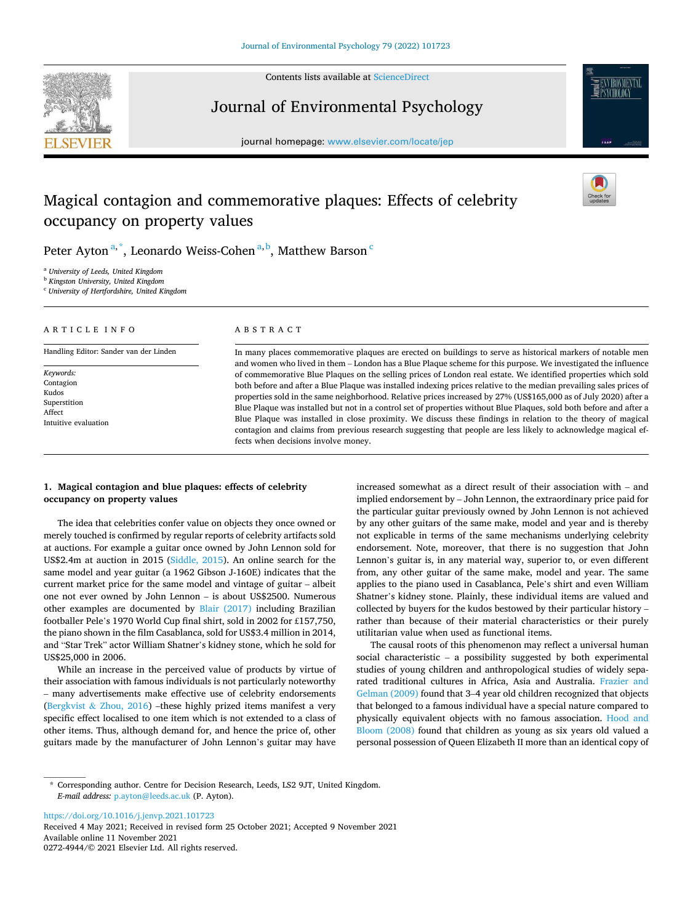

Contents lists available at [ScienceDirect](www.sciencedirect.com/science/journal/02724944)

Journal of Environmental Psychology





# Magical contagion and commemorative plaques: Effects of celebrity occupancy on property values

Peter Ayton<sup>a,\*</sup>, Leonardo Weiss-Cohen<sup>a,b</sup>, Matthew Barson <sup>c</sup>

<sup>a</sup> *University of Leeds, United Kingdom* 

<sup>b</sup> *Kingston University, United Kingdom* 

<sup>c</sup> *University of Hertfordshire, United Kingdom* 

## A R T I C L E I N F O

Handling Editor: Sander van der Linden

## ABSTRACT

In many places commemorative plaques are erected on buildings to serve as historical markers of notable men and women who lived in them – London has a Blue Plaque scheme for this purpose. We investigated the influence of commemorative Blue Plaques on the selling prices of London real estate. We identified properties which sold both before and after a Blue Plaque was installed indexing prices relative to the median prevailing sales prices of properties sold in the same neighborhood. Relative prices increased by 27% (US\$165,000 as of July 2020) after a Blue Plaque was installed but not in a control set of properties without Blue Plaques, sold both before and after a Blue Plaque was installed in close proximity. We discuss these findings in relation to the theory of magical contagion and claims from previous research suggesting that people are less likely to acknowledge magical effects when decisions involve money.

## **1. Magical contagion and blue plaques: effects of celebrity occupancy on property values**

The idea that celebrities confer value on objects they once owned or merely touched is confirmed by regular reports of celebrity artifacts sold at auctions. For example a guitar once owned by John Lennon sold for US\$2.4m at auction in 2015 ([Siddle, 2015\)](#page-7-0). An online search for the same model and year guitar (a 1962 Gibson J-160E) indicates that the current market price for the same model and vintage of guitar – albeit one not ever owned by John Lennon – is about US\$2500. Numerous other examples are documented by [Blair \(2017\)](#page-6-0) including Brazilian footballer Pele's 1970 World Cup final shirt, sold in 2002 for £157,750, the piano shown in the film Casablanca, sold for US\$3.4 million in 2014, and "Star Trek" actor William Shatner's kidney stone, which he sold for US\$25,000 in 2006.

While an increase in the perceived value of products by virtue of their association with famous individuals is not particularly noteworthy – many advertisements make effective use of celebrity endorsements (Bergkvist & [Zhou, 2016\)](#page-6-0) –these highly prized items manifest a very specific effect localised to one item which is not extended to a class of other items. Thus, although demand for, and hence the price of, other guitars made by the manufacturer of John Lennon's guitar may have increased somewhat as a direct result of their association with – and implied endorsement by – John Lennon, the extraordinary price paid for the particular guitar previously owned by John Lennon is not achieved by any other guitars of the same make, model and year and is thereby not explicable in terms of the same mechanisms underlying celebrity endorsement. Note, moreover, that there is no suggestion that John Lennon's guitar is, in any material way, superior to, or even different from, any other guitar of the same make, model and year. The same applies to the piano used in Casablanca, Pele's shirt and even William Shatner's kidney stone. Plainly, these individual items are valued and collected by buyers for the kudos bestowed by their particular history – rather than because of their material characteristics or their purely utilitarian value when used as functional items.

The causal roots of this phenomenon may reflect a universal human social characteristic – a possibility suggested by both experimental studies of young children and anthropological studies of widely separated traditional cultures in Africa, Asia and Australia. [Frazier and](#page-6-0)  [Gelman \(2009\)](#page-6-0) found that 3–4 year old children recognized that objects that belonged to a famous individual have a special nature compared to physically equivalent objects with no famous association. [Hood and](#page-6-0)  [Bloom \(2008\)](#page-6-0) found that children as young as six years old valued a personal possession of Queen Elizabeth II more than an identical copy of

<https://doi.org/10.1016/j.jenvp.2021.101723>

Available online 11 November 2021 0272-4944/© 2021 Elsevier Ltd. All rights reserved. Received 4 May 2021; Received in revised form 25 October 2021; Accepted 9 November 2021

*Keywords:*  Contagion Kudos Superstition Affect Intuitive evaluation

<sup>\*</sup> Corresponding author. Centre for Decision Research, Leeds, LS2 9JT, United Kingdom. *E-mail address:* [p.ayton@leeds.ac.uk](mailto:p.ayton@leeds.ac.uk) (P. Ayton).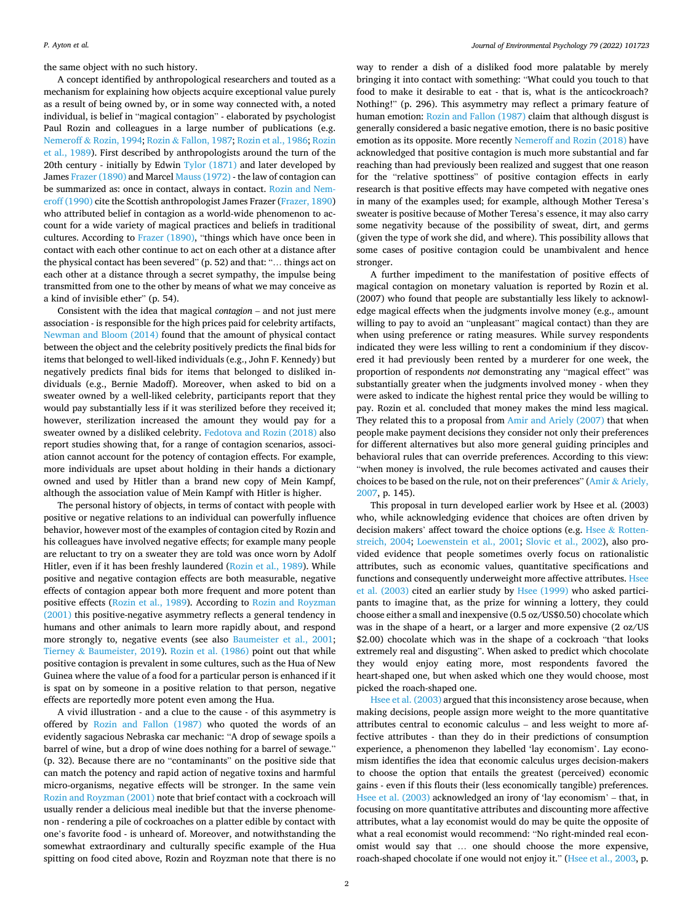the same object with no such history.

A concept identified by anthropological researchers and touted as a mechanism for explaining how objects acquire exceptional value purely as a result of being owned by, or in some way connected with, a noted individual, is belief in "magical contagion" - elaborated by psychologist Paul Rozin and colleagues in a large number of publications (e.g. Nemeroff & [Rozin, 1994](#page-6-0); Rozin & [Fallon, 1987; Rozin et al., 1986; Rozin](#page-7-0)  [et al., 1989](#page-7-0)). First described by anthropologists around the turn of the 20th century - initially by Edwin [Tylor \(1871\)](#page-7-0) and later developed by James [Frazer \(1890\)](#page-6-0) and Marcel [Mauss \(1972\)](#page-6-0) - the law of contagion can be summarized as: once in contact, always in contact. [Rozin and Nem](#page-7-0)[eroff \(1990\)](#page-7-0) cite the Scottish anthropologist James Frazer ([Frazer, 1890\)](#page-6-0) who attributed belief in contagion as a world-wide phenomenon to account for a wide variety of magical practices and beliefs in traditional cultures. According to [Frazer \(1890\)](#page-6-0), "things which have once been in contact with each other continue to act on each other at a distance after the physical contact has been severed" (p. 52) and that: "… things act on each other at a distance through a secret sympathy, the impulse being transmitted from one to the other by means of what we may conceive as a kind of invisible ether" (p. 54).

Consistent with the idea that magical *contagion* – and not just mere association - is responsible for the high prices paid for celebrity artifacts, [Newman and Bloom \(2014\)](#page-6-0) found that the amount of physical contact between the object and the celebrity positively predicts the final bids for items that belonged to well-liked individuals (e.g., John F. Kennedy) but negatively predicts final bids for items that belonged to disliked individuals (e.g., Bernie Madoff). Moreover, when asked to bid on a sweater owned by a well-liked celebrity, participants report that they would pay substantially less if it was sterilized before they received it; however, sterilization increased the amount they would pay for a sweater owned by a disliked celebrity. [Fedotova and Rozin \(2018\)](#page-6-0) also report studies showing that, for a range of contagion scenarios, association cannot account for the potency of contagion effects. For example, more individuals are upset about holding in their hands a dictionary owned and used by Hitler than a brand new copy of Mein Kampf, although the association value of Mein Kampf with Hitler is higher.

The personal history of objects, in terms of contact with people with positive or negative relations to an individual can powerfully influence behavior, however most of the examples of contagion cited by Rozin and his colleagues have involved negative effects; for example many people are reluctant to try on a sweater they are told was once worn by Adolf Hitler, even if it has been freshly laundered [\(Rozin et al., 1989](#page-7-0)). While positive and negative contagion effects are both measurable, negative effects of contagion appear both more frequent and more potent than positive effects [\(Rozin et al., 1989](#page-7-0)). According to [Rozin and Royzman](#page-7-0)  [\(2001\)](#page-7-0) this positive-negative asymmetry reflects a general tendency in humans and other animals to learn more rapidly about, and respond more strongly to, negative events (see also [Baumeister et al., 2001](#page-6-0); Tierney & [Baumeister, 2019\)](#page-7-0). [Rozin et al. \(1986\)](#page-7-0) point out that while positive contagion is prevalent in some cultures, such as the Hua of New Guinea where the value of a food for a particular person is enhanced if it is spat on by someone in a positive relation to that person, negative effects are reportedly more potent even among the Hua.

A vivid illustration - and a clue to the cause - of this asymmetry is offered by [Rozin and Fallon \(1987\)](#page-7-0) who quoted the words of an evidently sagacious Nebraska car mechanic: "A drop of sewage spoils a barrel of wine, but a drop of wine does nothing for a barrel of sewage." (p. 32). Because there are no "contaminants" on the positive side that can match the potency and rapid action of negative toxins and harmful micro-organisms, negative effects will be stronger. In the same vein [Rozin and Royzman \(2001\)](#page-7-0) note that brief contact with a cockroach will usually render a delicious meal inedible but that the inverse phenomenon - rendering a pile of cockroaches on a platter edible by contact with one's favorite food - is unheard of. Moreover, and notwithstanding the somewhat extraordinary and culturally specific example of the Hua spitting on food cited above, Rozin and Royzman note that there is no

way to render a dish of a disliked food more palatable by merely bringing it into contact with something: "What could you touch to that food to make it desirable to eat - that is, what is the anticockroach? Nothing!" (p. 296). This asymmetry may reflect a primary feature of human emotion: [Rozin and Fallon \(1987\)](#page-7-0) claim that although disgust is generally considered a basic negative emotion, there is no basic positive emotion as its opposite. More recently [Nemeroff and Rozin \(2018\)](#page-6-0) have acknowledged that positive contagion is much more substantial and far reaching than had previously been realized and suggest that one reason for the "relative spottiness" of positive contagion effects in early research is that positive effects may have competed with negative ones in many of the examples used; for example, although Mother Teresa's sweater is positive because of Mother Teresa's essence, it may also carry some negativity because of the possibility of sweat, dirt, and germs (given the type of work she did, and where). This possibility allows that some cases of positive contagion could be unambivalent and hence stronger.

A further impediment to the manifestation of positive effects of magical contagion on monetary valuation is reported by Rozin et al. (2007) who found that people are substantially less likely to acknowledge magical effects when the judgments involve money (e.g., amount willing to pay to avoid an "unpleasant" magical contact) than they are when using preference or rating measures. While survey respondents indicated they were less willing to rent a condominium if they discovered it had previously been rented by a murderer for one week, the proportion of respondents *not* demonstrating any "magical effect" was substantially greater when the judgments involved money - when they were asked to indicate the highest rental price they would be willing to pay. Rozin et al. concluded that money makes the mind less magical. They related this to a proposal from [Amir and Ariely \(2007\)](#page-6-0) that when people make payment decisions they consider not only their preferences for different alternatives but also more general guiding principles and behavioral rules that can override preferences. According to this view: "when money is involved, the rule becomes activated and causes their choices to be based on the rule, not on their preferences" (Amir & [Ariely,](#page-6-0)  [2007,](#page-6-0) p. 145).

This proposal in turn developed earlier work by Hsee et al. (2003) who, while acknowledging evidence that choices are often driven by decision makers' affect toward the choice options (e.g. Hsee & [Rotten](#page-6-0)[streich, 2004](#page-6-0); [Loewenstein et al., 2001](#page-6-0); [Slovic et al., 2002\)](#page-7-0), also provided evidence that people sometimes overly focus on rationalistic attributes, such as economic values, quantitative specifications and functions and consequently underweight more affective attributes. [Hsee](#page-6-0)  [et al. \(2003\)](#page-6-0) cited an earlier study by [Hsee \(1999\)](#page-6-0) who asked participants to imagine that, as the prize for winning a lottery, they could choose either a small and inexpensive (0.5 oz/US\$0.50) chocolate which was in the shape of a heart, or a larger and more expensive (2 oz/US \$2.00) chocolate which was in the shape of a cockroach "that looks extremely real and disgusting". When asked to predict which chocolate they would enjoy eating more, most respondents favored the heart-shaped one, but when asked which one they would choose, most picked the roach-shaped one.

[Hsee et al. \(2003\)](#page-6-0) argued that this inconsistency arose because, when making decisions, people assign more weight to the more quantitative attributes central to economic calculus – and less weight to more affective attributes - than they do in their predictions of consumption experience, a phenomenon they labelled 'lay economism'. Lay economism identifies the idea that economic calculus urges decision-makers to choose the option that entails the greatest (perceived) economic gains - even if this flouts their (less economically tangible) preferences. [Hsee et al. \(2003\)](#page-6-0) acknowledged an irony of 'lay economism' – that, in focusing on more quantitative attributes and discounting more affective attributes, what a lay economist would do may be quite the opposite of what a real economist would recommend: "No right-minded real economist would say that … one should choose the more expensive, roach-shaped chocolate if one would not enjoy it." [\(Hsee et al., 2003,](#page-6-0) p.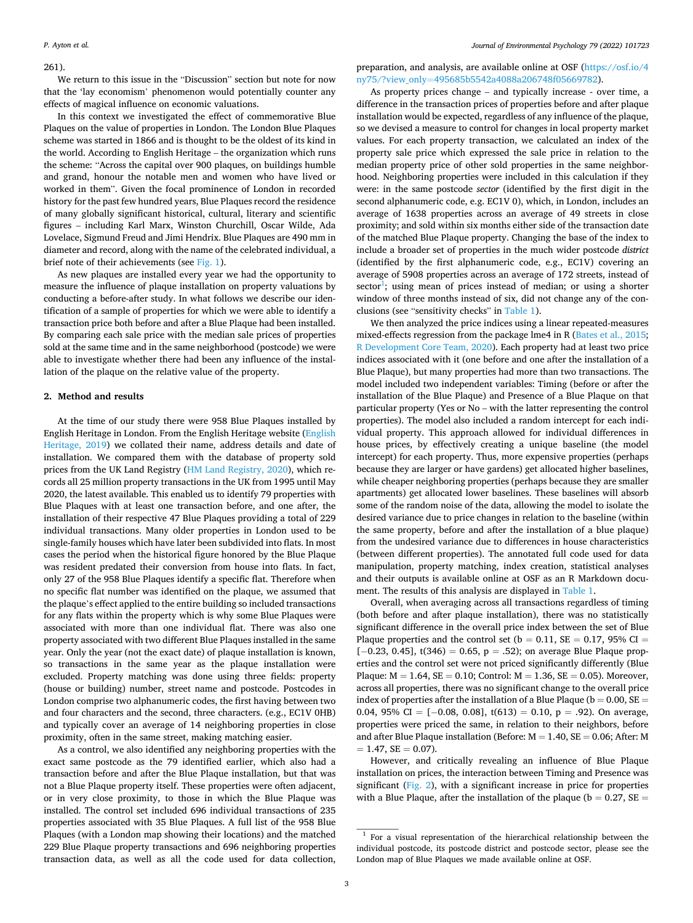## 261).

We return to this issue in the "Discussion" section but note for now that the 'lay economism' phenomenon would potentially counter any effects of magical influence on economic valuations.

In this context we investigated the effect of commemorative Blue Plaques on the value of properties in London. The London Blue Plaques scheme was started in 1866 and is thought to be the oldest of its kind in the world. According to English Heritage – the organization which runs the scheme: "Across the capital over 900 plaques, on buildings humble and grand, honour the notable men and women who have lived or worked in them". Given the focal prominence of London in recorded history for the past few hundred years, Blue Plaques record the residence of many globally significant historical, cultural, literary and scientific figures – including Karl Marx, Winston Churchill, Oscar Wilde, Ada Lovelace, Sigmund Freud and Jimi Hendrix. Blue Plaques are 490 mm in diameter and record, along with the name of the celebrated individual, a brief note of their achievements (see [Fig. 1](#page-3-0)).

As new plaques are installed every year we had the opportunity to measure the influence of plaque installation on property valuations by conducting a before-after study. In what follows we describe our identification of a sample of properties for which we were able to identify a transaction price both before and after a Blue Plaque had been installed. By comparing each sale price with the median sale prices of properties sold at the same time and in the same neighborhood (postcode) we were able to investigate whether there had been any influence of the installation of the plaque on the relative value of the property.

## **2. Method and results**

At the time of our study there were 958 Blue Plaques installed by English Heritage in London. From the English Heritage website ([English](#page-6-0)  [Heritage, 2019\)](#page-6-0) we collated their name, address details and date of installation. We compared them with the database of property sold prices from the UK Land Registry ([HM Land Registry, 2020](#page-6-0)), which records all 25 million property transactions in the UK from 1995 until May 2020, the latest available. This enabled us to identify 79 properties with Blue Plaques with at least one transaction before, and one after, the installation of their respective 47 Blue Plaques providing a total of 229 individual transactions. Many older properties in London used to be single-family houses which have later been subdivided into flats. In most cases the period when the historical figure honored by the Blue Plaque was resident predated their conversion from house into flats. In fact, only 27 of the 958 Blue Plaques identify a specific flat. Therefore when no specific flat number was identified on the plaque, we assumed that the plaque's effect applied to the entire building so included transactions for any flats within the property which is why some Blue Plaques were associated with more than one individual flat. There was also one property associated with two different Blue Plaques installed in the same year. Only the year (not the exact date) of plaque installation is known, so transactions in the same year as the plaque installation were excluded. Property matching was done using three fields: property (house or building) number, street name and postcode. Postcodes in London comprise two alphanumeric codes, the first having between two and four characters and the second, three characters. (e.g., EC1V 0HB) and typically cover an average of 14 neighboring properties in close proximity, often in the same street, making matching easier.

As a control, we also identified any neighboring properties with the exact same postcode as the 79 identified earlier, which also had a transaction before and after the Blue Plaque installation, but that was not a Blue Plaque property itself. These properties were often adjacent, or in very close proximity, to those in which the Blue Plaque was installed. The control set included 696 individual transactions of 235 properties associated with 35 Blue Plaques. A full list of the 958 Blue Plaques (with a London map showing their locations) and the matched 229 Blue Plaque property transactions and 696 neighboring properties transaction data, as well as all the code used for data collection,

preparation, and analysis, are available online at OSF ([https://osf.io/4](https://osf.io/4ny75/?view_only=495685b5542a4088a206748f05669782)  ny75/?view\_only=[495685b5542a4088a206748f05669782\)](https://osf.io/4ny75/?view_only=495685b5542a4088a206748f05669782).

As property prices change – and typically increase - over time, a difference in the transaction prices of properties before and after plaque installation would be expected, regardless of any influence of the plaque, so we devised a measure to control for changes in local property market values. For each property transaction, we calculated an index of the property sale price which expressed the sale price in relation to the median property price of other sold properties in the same neighborhood. Neighboring properties were included in this calculation if they were: in the same postcode *sector* (identified by the first digit in the second alphanumeric code, e.g. EC1V 0), which, in London, includes an average of 1638 properties across an average of 49 streets in close proximity; and sold within six months either side of the transaction date of the matched Blue Plaque property. Changing the base of the index to include a broader set of properties in the much wider postcode *district*  (identified by the first alphanumeric code, e.g., EC1V) covering an average of 5908 properties across an average of 172 streets, instead of  $sector<sup>1</sup>$ ; using mean of prices instead of median; or using a shorter window of three months instead of six, did not change any of the conclusions (see "sensitivity checks" in [Table 1](#page-3-0)).

We then analyzed the price indices using a linear repeated-measures mixed-effects regression from the package lme4 in R [\(Bates et al., 2015](#page-6-0); [R Development Core Team, 2020](#page-7-0)). Each property had at least two price indices associated with it (one before and one after the installation of a Blue Plaque), but many properties had more than two transactions. The model included two independent variables: Timing (before or after the installation of the Blue Plaque) and Presence of a Blue Plaque on that particular property (Yes or No – with the latter representing the control properties). The model also included a random intercept for each individual property. This approach allowed for individual differences in house prices, by effectively creating a unique baseline (the model intercept) for each property. Thus, more expensive properties (perhaps because they are larger or have gardens) get allocated higher baselines, while cheaper neighboring properties (perhaps because they are smaller apartments) get allocated lower baselines. These baselines will absorb some of the random noise of the data, allowing the model to isolate the desired variance due to price changes in relation to the baseline (within the same property, before and after the installation of a blue plaque) from the undesired variance due to differences in house characteristics (between different properties). The annotated full code used for data manipulation, property matching, index creation, statistical analyses and their outputs is available online at OSF as an R Markdown document. The results of this analysis are displayed in [Table 1](#page-3-0).

Overall, when averaging across all transactions regardless of timing (both before and after plaque installation), there was no statistically significant difference in the overall price index between the set of Blue Plaque properties and the control set ( $b = 0.11$ ,  $SE = 0.17$ , 95% CI =  $[-0.23, 0.45]$ , t(346) = 0.65, p = .52); on average Blue Plaque properties and the control set were not priced significantly differently (Blue Plaque:  $M = 1.64$ ,  $SE = 0.10$ ; Control:  $M = 1.36$ ,  $SE = 0.05$ ). Moreover, across all properties, there was no significant change to the overall price index of properties after the installation of a Blue Plaque ( $b = 0.00$ ,  $SE =$ 0.04, 95% CI =  $[-0.08, 0.08]$ , t $(613) = 0.10$ , p = .92). On average, properties were priced the same, in relation to their neighbors, before and after Blue Plaque installation (Before:  $M = 1.40$ ,  $SE = 0.06$ ; After: M  $= 1.47$ , SE  $= 0.07$ ).

However, and critically revealing an influence of Blue Plaque installation on prices, the interaction between Timing and Presence was significant ([Fig. 2](#page-3-0)), with a significant increase in price for properties with a Blue Plaque, after the installation of the plaque ( $b = 0.27$ ,  $SE =$ 

 $1$  For a visual representation of the hierarchical relationship between the individual postcode, its postcode district and postcode sector, please see the London map of Blue Plaques we made available online at OSF.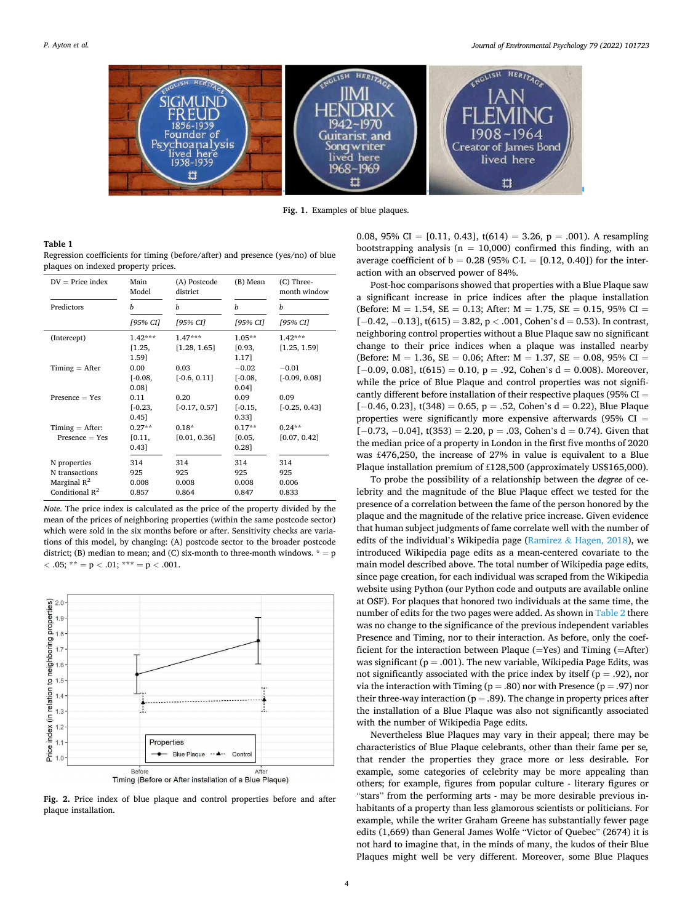<span id="page-3-0"></span>

**Fig. 1.** Examples of blue plaques.

#### **Table 1**

Regression coefficients for timing (before/after) and presence (yes/no) of blue plaques on indexed property prices.

| $DV = Price index$ | Main<br>Model | (A) Postcode<br>district | (B) Mean  | (C) Three-<br>month window |
|--------------------|---------------|--------------------------|-----------|----------------------------|
| Predictors         | h             | b                        | h         | h                          |
|                    | [95% CI]      | [95% CI]                 | [95% CI]  | [95% CI]                   |
| (Intercept)        | $1.42***$     | $1.47***$                | $1.05**$  | $1.42***$                  |
|                    | [1.25,        | [1.28, 1.65]             | [0.93,    | [1.25, 1.59]               |
|                    | 1.591         |                          | 1.171     |                            |
| $T$ iming = After  | 0.00          | 0.03                     | $-0.02$   | $-0.01$                    |
|                    | $[-0.08,$     | $[-0.6, 0.11]$           | $[-0.08,$ | $[-0.09, 0.08]$            |
|                    | 0.081         |                          | 0.041     |                            |
| $Presence = Yes$   | 0.11          | 0.20                     | 0.09      | 0.09                       |
|                    | $[-0.23,$     | $[-0.17, 0.57]$          | $[-0.15,$ | $[-0.25, 0.43]$            |
|                    | $0.45$ ]      |                          | 0.331     |                            |
| $T$ iming = After: | $0.27**$      | $0.18*$                  | $0.17**$  | $0.24**$                   |
| $Presence = Yes$   | [0.11,        | [0.01, 0.36]             | [0.05,    | [0.07, 0.42]               |
|                    | 0.431         |                          | 0.281     |                            |
| N properties       | 314           | 314                      | 314       | 314                        |
| N transactions     | 925           | 925                      | 925       | 925                        |
| Marginal $R^2$     | 0.008         | 0.008                    | 0.008     | 0.006                      |
| Conditional $R^2$  | 0.857         | 0.864                    | 0.847     | 0.833                      |

*Note*. The price index is calculated as the price of the property divided by the mean of the prices of neighboring properties (within the same postcode sector) which were sold in the six months before or after. Sensitivity checks are variations of this model, by changing: (A) postcode sector to the broader postcode district; (B) median to mean; and (C) six-month to three-month windows.  $* = p$  $<$  .05; \*\* = p  $<$  .01; \*\*\* = p  $<$  .001.



Timing (Before or After installation of a Blue Plaque)

**Fig. 2.** Price index of blue plaque and control properties before and after plaque installation.

0.08, 95% CI = [0.11, 0.43], t(614) = 3.26, p = .001). A resampling bootstrapping analysis ( $n = 10,000$ ) confirmed this finding, with an average coefficient of  $b = 0.28$  (95% C⋅I. = [0.12, 0.40]) for the interaction with an observed power of 84%.

Post-hoc comparisons showed that properties with a Blue Plaque saw a significant increase in price indices after the plaque installation (Before:  $M = 1.54$ ,  $SE = 0.13$ ; After:  $M = 1.75$ ,  $SE = 0.15$ , 95% CI = [−0.42, −0.13], t(615) = 3.82, p *<* .001, Cohen's d = 0.53). In contrast, neighboring control properties without a Blue Plaque saw no significant change to their price indices when a plaque was installed nearby (Before:  $M = 1.36$ ,  $SE = 0.06$ ; After:  $M = 1.37$ ,  $SE = 0.08$ , 95% CI =  $[-0.09, 0.08]$ , t(615) = 0.10, p = .92, Cohen's d = 0.008). Moreover, while the price of Blue Plaque and control properties was not significantly different before installation of their respective plaques (95%  $CI =$  $[-0.46, 0.23]$ , t(348) = 0.65, p = .52, Cohen's d = 0.22), Blue Plaque properties were significantly more expensive afterwards (95%  $CI =$  $[-0.73, -0.04]$ , t $(353) = 2.20$ ,  $p = .03$ , Cohen's  $d = 0.74$ ). Given that the median price of a property in London in the first five months of 2020 was £476,250, the increase of 27% in value is equivalent to a Blue Plaque installation premium of £128,500 (approximately US\$165,000).

To probe the possibility of a relationship between the *degree* of celebrity and the magnitude of the Blue Plaque effect we tested for the presence of a correlation between the fame of the person honored by the plaque and the magnitude of the relative price increase. Given evidence that human subject judgments of fame correlate well with the number of edits of the individual's Wikipedia page (Ramirez & [Hagen, 2018\)](#page-7-0), we introduced Wikipedia page edits as a mean-centered covariate to the main model described above. The total number of Wikipedia page edits, since page creation, for each individual was scraped from the Wikipedia website using Python (our Python code and outputs are available online at OSF). For plaques that honored two individuals at the same time, the number of edits for the two pages were added. As shown in [Table 2](#page-4-0) there was no change to the significance of the previous independent variables Presence and Timing, nor to their interaction. As before, only the coefficient for the interaction between Plaque (=Yes) and Timing (=After) was significant ( $p = .001$ ). The new variable, Wikipedia Page Edits, was not significantly associated with the price index by itself ( $p = .92$ ), nor via the interaction with Timing ( $p = .80$ ) nor with Presence ( $p = .97$ ) nor their three-way interaction ( $p = .89$ ). The change in property prices after the installation of a Blue Plaque was also not significantly associated with the number of Wikipedia Page edits.

Nevertheless Blue Plaques may vary in their appeal; there may be characteristics of Blue Plaque celebrants, other than their fame per se*,*  that render the properties they grace more or less desirable*.* For example, some categories of celebrity may be more appealing than others; for example, figures from popular culture - literary figures or "stars" from the performing arts - may be more desirable previous inhabitants of a property than less glamorous scientists or politicians. For example, while the writer Graham Greene has substantially fewer page edits (1,669) than General James Wolfe "Victor of Quebec" (2674) it is not hard to imagine that, in the minds of many, the kudos of their Blue Plaques might well be very different. Moreover, some Blue Plaques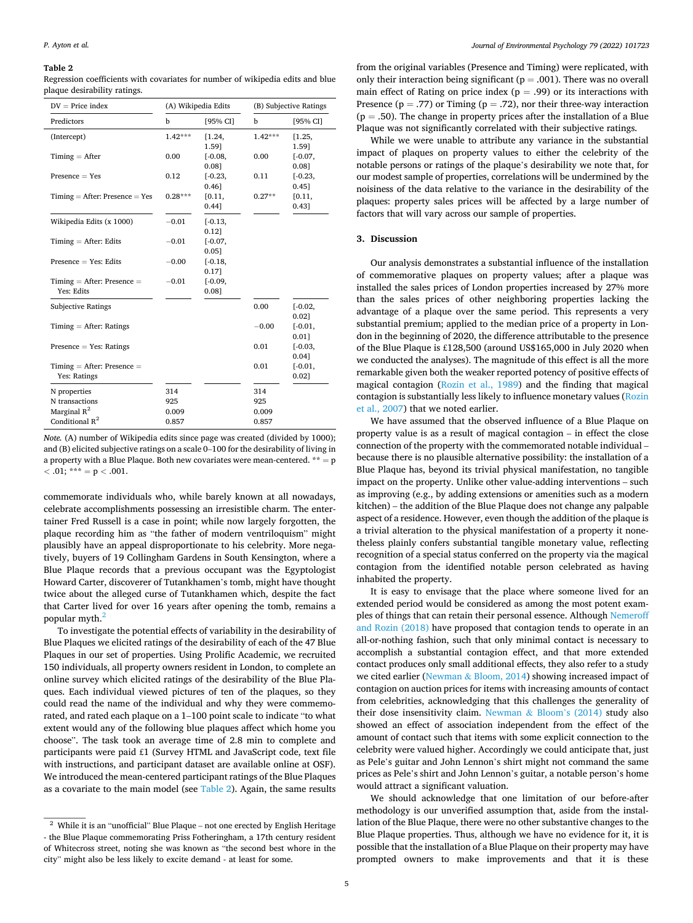#### <span id="page-4-0"></span>**Table 2**

Regression coefficients with covariates for number of wikipedia edits and blue plaque desirability ratings.

| $DV = Price index$                | (A) Wikipedia Edits |           | (B) Subjective Ratings |           |
|-----------------------------------|---------------------|-----------|------------------------|-----------|
| Predictors                        | b                   | [95% CI]  | b                      | [95% CI]  |
| (Intercept)                       | $1.42***$           | [1.24,    | $1.42***$              | [1.25,    |
|                                   |                     | 1.591     |                        | 1.591     |
| $T$ iming = After                 | 0.00                | $[-0.08,$ | 0.00                   | $[-0.07,$ |
|                                   |                     | 0.081     |                        | 0.081     |
| $Presence = Yes$                  | 0.12                | $[-0.23,$ | 0.11                   | $[-0.23,$ |
|                                   |                     | $0.46$ ]  |                        | 0.451     |
| $T$ iming = After: Presence = Yes | $0.28***$           | [0.11,    | $0.27**$               | [0.11,    |
|                                   |                     | 0.441     |                        | 0.431     |
| Wikipedia Edits (x 1000)          | $-0.01$             | $[-0.13,$ |                        |           |
|                                   |                     | 0.121     |                        |           |
| $T$ iming = After: Edits          | $-0.01$             | $[-0.07,$ |                        |           |
|                                   |                     | 0.051     |                        |           |
| $Presence = Yes: Edits$           | $-0.00$             | $[-0.18,$ |                        |           |
|                                   |                     | 0.171     |                        |           |
| $T$ iming = After: Presence =     | $-0.01$             | $[-0.09,$ |                        |           |
| Yes: Edits                        |                     | 0.08]     |                        |           |
| <b>Subjective Ratings</b>         |                     |           | 0.00                   | $[-0.02,$ |
|                                   |                     |           |                        | 0.021     |
| $T$ iming = After: Ratings        |                     |           | $-0.00$                | $[-0.01,$ |
|                                   |                     |           |                        | 0.011     |
| $Presence = Yes: Ratings$         |                     |           | 0.01                   | $[-0.03,$ |
|                                   |                     |           |                        | 0.041     |
| $T$ iming = After: Presence =     |                     |           | 0.01                   | $[-0.01,$ |
| Yes: Ratings                      |                     |           |                        | 0.021     |
|                                   |                     |           |                        |           |
| N properties                      | 314                 |           | 314                    |           |
| N transactions                    | 925                 |           | 925                    |           |
| Marginal $R^2$                    | 0.009               |           | 0.009                  |           |
| Conditional $R^2$                 | 0.857               |           | 0.857                  |           |

*Note.* (A) number of Wikipedia edits since page was created (divided by 1000); and (B) elicited subjective ratings on a scale 0–100 for the desirability of living in a property with a Blue Plaque. Both new covariates were mean-centered.  $** = p$  $<$  .01; \*\*\* = p  $<$  .001.

commemorate individuals who, while barely known at all nowadays, celebrate accomplishments possessing an irresistible charm. The entertainer Fred Russell is a case in point; while now largely forgotten, the plaque recording him as "the father of modern ventriloquism" might plausibly have an appeal disproportionate to his celebrity. More negatively, buyers of 19 Collingham Gardens in South Kensington, where a Blue Plaque records that a previous occupant was the Egyptologist Howard Carter, discoverer of Tutankhamen's tomb, might have thought twice about the alleged curse of Tutankhamen which, despite the fact that Carter lived for over 16 years after opening the tomb, remains a popular myth.<sup>2</sup>

To investigate the potential effects of variability in the desirability of Blue Plaques we elicited ratings of the desirability of each of the 47 Blue Plaques in our set of properties. Using Prolific Academic, we recruited 150 individuals, all property owners resident in London, to complete an online survey which elicited ratings of the desirability of the Blue Plaques. Each individual viewed pictures of ten of the plaques, so they could read the name of the individual and why they were commemorated, and rated each plaque on a 1–100 point scale to indicate "to what extent would any of the following blue plaques affect which home you choose". The task took an average time of 2.8 min to complete and participants were paid £1 (Survey HTML and JavaScript code, text file with instructions, and participant dataset are available online at OSF). We introduced the mean-centered participant ratings of the Blue Plaques as a covariate to the main model (see Table 2). Again, the same results

from the original variables (Presence and Timing) were replicated, with only their interaction being significant ( $p = .001$ ). There was no overall main effect of Rating on price index ( $p = .99$ ) or its interactions with Presence ( $p = .77$ ) or Timing ( $p = .72$ ), nor their three-way interaction  $(p = .50)$ . The change in property prices after the installation of a Blue Plaque was not significantly correlated with their subjective ratings.

While we were unable to attribute any variance in the substantial impact of plaques on property values to either the celebrity of the notable persons or ratings of the plaque's desirability we note that, for our modest sample of properties, correlations will be undermined by the noisiness of the data relative to the variance in the desirability of the plaques: property sales prices will be affected by a large number of factors that will vary across our sample of properties.

#### **3. Discussion**

Our analysis demonstrates a substantial influence of the installation of commemorative plaques on property values; after a plaque was installed the sales prices of London properties increased by 27% more than the sales prices of other neighboring properties lacking the advantage of a plaque over the same period. This represents a very substantial premium; applied to the median price of a property in London in the beginning of 2020, the difference attributable to the presence of the Blue Plaque is £128,500 (around US\$165,000 in July 2020 when we conducted the analyses). The magnitude of this effect is all the more remarkable given both the weaker reported potency of positive effects of magical contagion [\(Rozin et al., 1989\)](#page-7-0) and the finding that magical contagion is substantially less likely to influence monetary values ([Rozin](#page-7-0)  [et al., 2007\)](#page-7-0) that we noted earlier.

We have assumed that the observed influence of a Blue Plaque on property value is as a result of magical contagion – in effect the close connection of the property with the commemorated notable individual – because there is no plausible alternative possibility: the installation of a Blue Plaque has, beyond its trivial physical manifestation, no tangible impact on the property. Unlike other value-adding interventions – such as improving (e.g., by adding extensions or amenities such as a modern kitchen) – the addition of the Blue Plaque does not change any palpable aspect of a residence. However, even though the addition of the plaque is a trivial alteration to the physical manifestation of a property it nonetheless plainly confers substantial tangible monetary value, reflecting recognition of a special status conferred on the property via the magical contagion from the identified notable person celebrated as having inhabited the property.

It is easy to envisage that the place where someone lived for an extended period would be considered as among the most potent examples of things that can retain their personal essence. Although [Nemeroff](#page-6-0)  [and Rozin \(2018\)](#page-6-0) have proposed that contagion tends to operate in an all-or-nothing fashion, such that only minimal contact is necessary to accomplish a substantial contagion effect, and that more extended contact produces only small additional effects, they also refer to a study we cited earlier (Newman & [Bloom, 2014\)](#page-6-0) showing increased impact of contagion on auction prices for items with increasing amounts of contact from celebrities, acknowledging that this challenges the generality of their dose insensitivity claim. [Newman](#page-6-0) & Bloom's (2014) study also showed an effect of association independent from the effect of the amount of contact such that items with some explicit connection to the celebrity were valued higher. Accordingly we could anticipate that, just as Pele's guitar and John Lennon's shirt might not command the same prices as Pele's shirt and John Lennon's guitar, a notable person's home would attract a significant valuation.

We should acknowledge that one limitation of our before-after methodology is our unverified assumption that, aside from the installation of the Blue Plaque, there were no other substantive changes to the Blue Plaque properties. Thus, although we have no evidence for it, it is possible that the installation of a Blue Plaque on their property may have prompted owners to make improvements and that it is these

 $^{\rm 2}$  While it is an "unofficial" Blue Plaque – not one erected by English Heritage - the Blue Plaque commemorating Priss Fotheringham, a 17th century resident of Whitecross street, noting she was known as "the second best whore in the city" might also be less likely to excite demand - at least for some.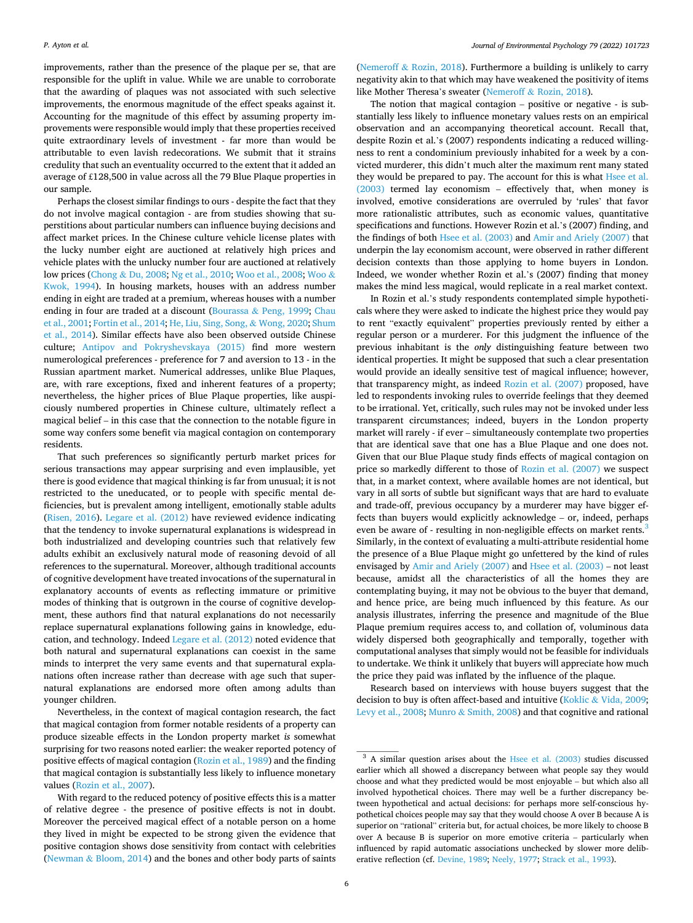improvements, rather than the presence of the plaque per se, that are responsible for the uplift in value. While we are unable to corroborate that the awarding of plaques was not associated with such selective improvements, the enormous magnitude of the effect speaks against it. Accounting for the magnitude of this effect by assuming property improvements were responsible would imply that these properties received quite extraordinary levels of investment - far more than would be attributable to even lavish redecorations. We submit that it strains credulity that such an eventuality occurred to the extent that it added an average of £128,500 in value across all the 79 Blue Plaque properties in our sample.

Perhaps the closest similar findings to ours - despite the fact that they do not involve magical contagion - are from studies showing that superstitions about particular numbers can influence buying decisions and affect market prices. In the Chinese culture vehicle license plates with the lucky number eight are auctioned at relatively high prices and vehicle plates with the unlucky number four are auctioned at relatively low prices (Chong & [Du, 2008](#page-6-0); [Ng et al., 2010;](#page-6-0) [Woo et al., 2008](#page-7-0); [Woo](#page-7-0) & [Kwok, 1994](#page-7-0)). In housing markets, houses with an address number ending in eight are traded at a premium, whereas houses with a number ending in four are traded at a discount (Bourassa & [Peng, 1999; Chau](#page-6-0)  [et al., 2001](#page-6-0); [Fortin et al., 2014; He, Liu, Sing, Song,](#page-6-0) & Wong, 2020; [Shum](#page-7-0)  [et al., 2014](#page-7-0)). Similar effects have also been observed outside Chinese culture; [Antipov and Pokryshevskaya \(2015\)](#page-6-0) find more western numerological preferences - preference for 7 and aversion to 13 - in the Russian apartment market. Numerical addresses, unlike Blue Plaques, are, with rare exceptions, fixed and inherent features of a property; nevertheless, the higher prices of Blue Plaque properties, like auspiciously numbered properties in Chinese culture, ultimately reflect a magical belief – in this case that the connection to the notable figure in some way confers some benefit via magical contagion on contemporary residents.

That such preferences so significantly perturb market prices for serious transactions may appear surprising and even implausible, yet there is good evidence that magical thinking is far from unusual; it is not restricted to the uneducated, or to people with specific mental deficiencies, but is prevalent among intelligent, emotionally stable adults ([Risen, 2016\)](#page-7-0). [Legare et al. \(2012\)](#page-6-0) have reviewed evidence indicating that the tendency to invoke supernatural explanations is widespread in both industrialized and developing countries such that relatively few adults exhibit an exclusively natural mode of reasoning devoid of all references to the supernatural. Moreover, although traditional accounts of cognitive development have treated invocations of the supernatural in explanatory accounts of events as reflecting immature or primitive modes of thinking that is outgrown in the course of cognitive development, these authors find that natural explanations do not necessarily replace supernatural explanations following gains in knowledge, education, and technology. Indeed [Legare et al. \(2012\)](#page-6-0) noted evidence that both natural and supernatural explanations can coexist in the same minds to interpret the very same events and that supernatural explanations often increase rather than decrease with age such that supernatural explanations are endorsed more often among adults than younger children.

Nevertheless, in the context of magical contagion research, the fact that magical contagion from former notable residents of a property can produce sizeable effects in the London property market *is* somewhat surprising for two reasons noted earlier: the weaker reported potency of positive effects of magical contagion [\(Rozin et al., 1989\)](#page-7-0) and the finding that magical contagion is substantially less likely to influence monetary values [\(Rozin et al., 2007\)](#page-7-0).

With regard to the reduced potency of positive effects this is a matter of relative degree - the presence of positive effects is not in doubt. Moreover the perceived magical effect of a notable person on a home they lived in might be expected to be strong given the evidence that positive contagion shows dose sensitivity from contact with celebrities (Newman & [Bloom, 2014\)](#page-6-0) and the bones and other body parts of saints

(Nemeroff  $&$  [Rozin, 2018\)](#page-6-0). Furthermore a building is unlikely to carry negativity akin to that which may have weakened the positivity of items like Mother Theresa's sweater (Nemeroff & [Rozin, 2018\)](#page-6-0).

The notion that magical contagion – positive or negative - is substantially less likely to influence monetary values rests on an empirical observation and an accompanying theoretical account. Recall that, despite Rozin et al.'s (2007) respondents indicating a reduced willingness to rent a condominium previously inhabited for a week by a convicted murderer, this didn't much alter the maximum rent many stated they would be prepared to pay. The account for this is what Hsee et al. [\(2003\)](#page-6-0) termed lay economism – effectively that, when money is involved, emotive considerations are overruled by 'rules' that favor more rationalistic attributes, such as economic values, quantitative specifications and functions. However Rozin et al.'s (2007) finding, and the findings of both [Hsee et al. \(2003\)](#page-6-0) and [Amir and Ariely \(2007\)](#page-6-0) that underpin the lay economism account, were observed in rather different decision contexts than those applying to home buyers in London. Indeed, we wonder whether Rozin et al.'s (2007) finding that money makes the mind less magical, would replicate in a real market context.

In Rozin et al.'s study respondents contemplated simple hypotheticals where they were asked to indicate the highest price they would pay to rent "exactly equivalent" properties previously rented by either a regular person or a murderer. For this judgment the influence of the previous inhabitant is the *only* distinguishing feature between two identical properties. It might be supposed that such a clear presentation would provide an ideally sensitive test of magical influence; however, that transparency might, as indeed [Rozin et al. \(2007\)](#page-7-0) proposed, have led to respondents invoking rules to override feelings that they deemed to be irrational. Yet, critically, such rules may not be invoked under less transparent circumstances; indeed, buyers in the London property market will rarely - if ever – simultaneously contemplate two properties that are identical save that one has a Blue Plaque and one does not. Given that our Blue Plaque study finds effects of magical contagion on price so markedly different to those of [Rozin et al. \(2007\)](#page-7-0) we suspect that, in a market context, where available homes are not identical, but vary in all sorts of subtle but significant ways that are hard to evaluate and trade-off, previous occupancy by a murderer may have bigger effects than buyers would explicitly acknowledge – or, indeed, perhaps even be aware of - resulting in non-negligible effects on market rents.<sup>3</sup> Similarly, in the context of evaluating a multi-attribute residential home the presence of a Blue Plaque might go unfettered by the kind of rules envisaged by [Amir and Ariely \(2007\)](#page-6-0) and [Hsee et al. \(2003\)](#page-6-0) – not least because, amidst all the characteristics of all the homes they are contemplating buying, it may not be obvious to the buyer that demand, and hence price, are being much influenced by this feature. As our analysis illustrates, inferring the presence and magnitude of the Blue Plaque premium requires access to, and collation of, voluminous data widely dispersed both geographically and temporally, together with computational analyses that simply would not be feasible for individuals to undertake. We think it unlikely that buyers will appreciate how much the price they paid was inflated by the influence of the plaque.

Research based on interviews with house buyers suggest that the decision to buy is often affect-based and intuitive (Koklic & [Vida, 2009](#page-6-0); [Levy et al., 2008](#page-6-0); Munro & [Smith, 2008\)](#page-6-0) and that cognitive and rational

 $3$  A similar question arises about the [Hsee et al. \(2003\)](#page-6-0) studies discussed earlier which all showed a discrepancy between what people say they would choose and what they predicted would be most enjoyable – but which also all involved hypothetical choices. There may well be a further discrepancy between hypothetical and actual decisions: for perhaps more self-conscious hypothetical choices people may say that they would choose A over B because A is superior on "rational" criteria but, for actual choices, be more likely to choose B over A because B is superior on more emotive criteria – particularly when influenced by rapid automatic associations unchecked by slower more deliberative reflection (cf. [Devine, 1989; Neely, 1977;](#page-6-0) [Strack et al., 1993](#page-7-0)).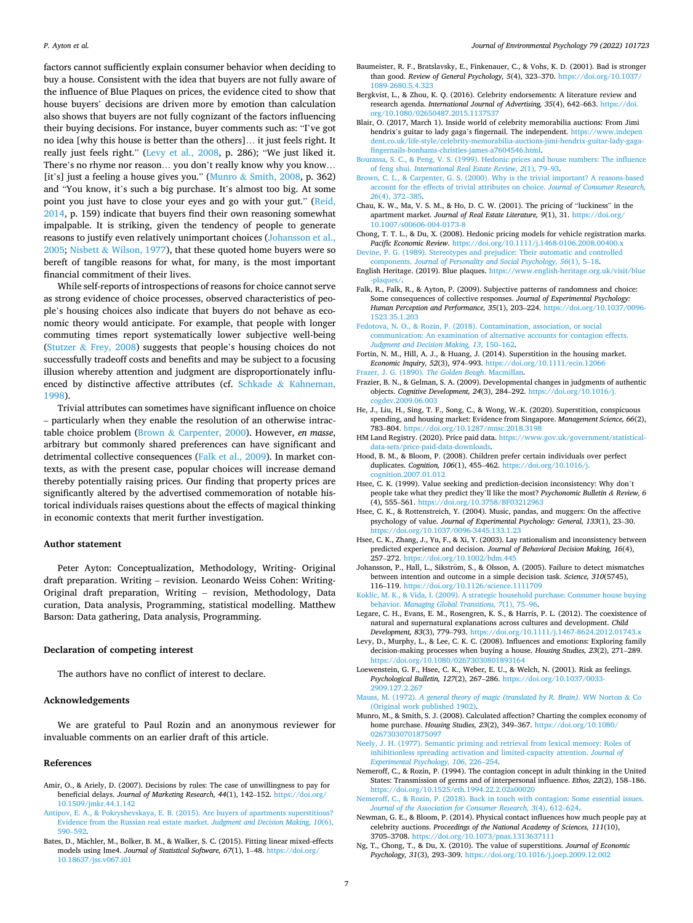<span id="page-6-0"></span>factors cannot sufficiently explain consumer behavior when deciding to buy a house. Consistent with the idea that buyers are not fully aware of the influence of Blue Plaques on prices, the evidence cited to show that house buyers' decisions are driven more by emotion than calculation also shows that buyers are not fully cognizant of the factors influencing their buying decisions. For instance, buyer comments such as: "I've got no idea [why this house is better than the others]… it just feels right. It really just feels right." (Levy et al., 2008, p. 286); "We just liked it. There's no rhyme nor reason… you don't really know why you know… [it's] just a feeling a house gives you." (Munro & Smith, 2008, p. 362) and "You know, it's such a big purchase. It's almost too big. At some point you just have to close your eyes and go with your gut." [\(Reid,](#page-7-0)  [2014,](#page-7-0) p. 159) indicate that buyers find their own reasoning somewhat impalpable. It is striking, given the tendency of people to generate reasons to justify even relatively unimportant choices (Johansson et al., 2005; Nisbett & [Wilson, 1977\)](#page-7-0), that these quoted home buyers were so bereft of tangible reasons for what, for many, is the most important financial commitment of their lives.

While self-reports of introspections of reasons for choice cannot serve as strong evidence of choice processes, observed characteristics of people's housing choices also indicate that buyers do not behave as economic theory would anticipate. For example, that people with longer commuting times report systematically lower subjective well-being (Stutzer & [Frey, 2008\)](#page-7-0) suggests that people's housing choices do not successfully tradeoff costs and benefits and may be subject to a focusing illusion whereby attention and judgment are disproportionately influenced by distinctive affective attributes (cf. Schkade & [Kahneman,](#page-7-0)  [1998\)](#page-7-0).

Trivial attributes can sometimes have significant influence on choice – particularly when they enable the resolution of an otherwise intractable choice problem (Brown & Carpenter, 2000). However, *en masse*, arbitrary but commonly shared preferences can have significant and detrimental collective consequences (Falk et al., 2009). In market contexts, as with the present case, popular choices will increase demand thereby potentially raising prices. Our finding that property prices are significantly altered by the advertised commemoration of notable historical individuals raises questions about the effects of magical thinking in economic contexts that merit further investigation.

## **Author statement**

Peter Ayton: Conceptualization, Methodology, Writing- Original draft preparation. Writing – revision. Leonardo Weiss Cohen: Writing-Original draft preparation, Writing – revision, Methodology, Data curation, Data analysis, Programming, statistical modelling. Matthew Barson: Data gathering, Data analysis, Programming.

## **Declaration of competing interest**

The authors have no conflict of interest to declare.

## **Acknowledgements**

We are grateful to Paul Rozin and an anonymous reviewer for invaluable comments on an earlier draft of this article.

## **References**

- Amir, O., & Ariely, D. (2007). Decisions by rules: The case of unwillingness to pay for beneficial delays. *Journal of Marketing Research, 44*(1), 142–152. [https://doi.org/](https://doi.org/10.1509/jmkr.44.1.142)  [10.1509/jmkr.44.1.142](https://doi.org/10.1509/jmkr.44.1.142)
- [Antipov, E. A., & Pokryshevskaya, E. B. \(2015\). Are buyers of apartments superstitious?](http://refhub.elsevier.com/S0272-4944(21)00176-6/sref2)  [Evidence from the Russian real estate market.](http://refhub.elsevier.com/S0272-4944(21)00176-6/sref2) *Judgment and Decision Making, 10*(6), 590–[592](http://refhub.elsevier.com/S0272-4944(21)00176-6/sref2).
- Bates, D., Mächler, M., Bolker, B. M., & Walker, S. C. (2015). Fitting linear mixed-effects models using lme4. *Journal of Statistical Software, 67*(1), 1–48. [https://doi.org/](https://doi.org/10.18637/jss.v067.i01)  [10.18637/jss.v067.i01](https://doi.org/10.18637/jss.v067.i01)
- Baumeister, R. F., Bratslavsky, E., Finkenauer, C., & Vohs, K. D. (2001). Bad is stronger than good. *Review of General Psychology, 5*(4), 323–370. [https://doi.org/10.1037/](https://doi.org/10.1037/1089-2680.5.4.323)  [1089-2680.5.4.323](https://doi.org/10.1037/1089-2680.5.4.323)
- Bergkvist, L., & Zhou, K. Q. (2016). Celebrity endorsements: A literature review and research agenda. *International Journal of Advertising, 35*(4), 642–663. [https://doi.](https://doi.org/10.1080/02650487.2015.1137537) [org/10.1080/02650487.2015.1137537](https://doi.org/10.1080/02650487.2015.1137537)
- Blair, O. (2017, March 1). Inside world of celebrity memorabilia auctions: From Jimi hendrix's guitar to lady gaga's fingernail. The independent. [https://www.indepen](https://www.independent.co.uk/life-style/celebrity-memorabilia-auctions-jimi-hendrix-guitar-lady-gaga-fingernails-bonhams-christies-james-a7604546.html) [dent.co.uk/life-style/celebrity-memorabilia-auctions-jimi-hendrix-guitar-lady-gaga](https://www.independent.co.uk/life-style/celebrity-memorabilia-auctions-jimi-hendrix-guitar-lady-gaga-fingernails-bonhams-christies-james-a7604546.html)[fingernails-bonhams-christies-james-a7604546.html.](https://www.independent.co.uk/life-style/celebrity-memorabilia-auctions-jimi-hendrix-guitar-lady-gaga-fingernails-bonhams-christies-james-a7604546.html)
- [Bourassa, S. C., & Peng, V. S. \(1999\). Hedonic prices and house numbers: The influence](http://refhub.elsevier.com/S0272-4944(21)00176-6/sref7)  of feng shui. *[International Real Estate Review, 2](http://refhub.elsevier.com/S0272-4944(21)00176-6/sref7)*(1), 79–93.
- [Brown, C. L., & Carpenter, G. S. \(2000\). Why is the trivial important? A reasons-based](http://refhub.elsevier.com/S0272-4944(21)00176-6/sref8)  [account for the effects of trivial attributes on choice.](http://refhub.elsevier.com/S0272-4944(21)00176-6/sref8) *Journal of Consumer Research, 26*[\(4\), 372](http://refhub.elsevier.com/S0272-4944(21)00176-6/sref8)–385.
- Chau, K. W., Ma, V. S. M., & Ho, D. C. W. (2001). The pricing of "luckiness" in the apartment market. *Journal of Real Estate Literature, 9*(1), 31. [https://doi.org/](https://doi.org/10.1007/s00606-004-0173-8) [10.1007/s00606-004-0173-8](https://doi.org/10.1007/s00606-004-0173-8)
- Chong, T. T. L., & Du, X. (2008). Hedonic pricing models for vehicle registration marks. *Pacific Economic Review*. <https://doi.org/10.1111/j.1468-0106.2008.00400.x>
- [Devine, P. G. \(1989\). Stereotypes and prejudice: Their automatic and controlled](http://refhub.elsevier.com/S0272-4944(21)00176-6/sref11) components. *[Journal of Personality and Social Psychology, 56](http://refhub.elsevier.com/S0272-4944(21)00176-6/sref11)*(1), 5–18.
- English Heritage. (2019). Blue plaques. [https://www.english-heritage.org.uk/visit/blue](https://www.english-heritage.org.uk/visit/blue-plaques/) [-plaques/](https://www.english-heritage.org.uk/visit/blue-plaques/).
- Falk, R., Falk, R., & Ayton, P. (2009). Subjective patterns of randomness and choice: Some consequences of collective responses. *Journal of Experimental Psychology: Human Perception and Performance, 35*(1), 203–224. [https://doi.org/10.1037/0096-](https://doi.org/10.1037/0096-1523.35.1.203)  [1523.35.1.203](https://doi.org/10.1037/0096-1523.35.1.203)
- [Fedotova, N. O., & Rozin, P. \(2018\). Contamination, association, or social](http://refhub.elsevier.com/S0272-4944(21)00176-6/sref14) [communication: An examination of alternative accounts for contagion effects.](http://refhub.elsevier.com/S0272-4944(21)00176-6/sref14)<br>Judgment and Decision Making, 13, 150-162. *[Judgment and Decision Making, 13](http://refhub.elsevier.com/S0272-4944(21)00176-6/sref14)*, 150–162.
- Fortin, N. M., Hill, A. J., & Huang, J. (2014). Superstition in the housing market. *Economic Inquiry, 52*(3), 974–993.<https://doi.org/10.1111/ecin.12066>
- [Frazer, J. G. \(1890\).](http://refhub.elsevier.com/S0272-4944(21)00176-6/sref16) *The Golden Bough*. Macmillan.
- Frazier, B. N., & Gelman, S. A. (2009). Developmental changes in judgments of authentic objects. *Cognitive Development, 24*(3), 284–292. [https://doi.org/10.1016/j.](https://doi.org/10.1016/j.cogdev.2009.06.003)  [cogdev.2009.06.003](https://doi.org/10.1016/j.cogdev.2009.06.003)
- He, J., Liu, H., Sing, T. F., Song, C., & Wong, W.-K. (2020). Superstition, conspicuous spending, and housing market: Evidence from Singapore. *Management Science, 66*(2), 783–804. <https://doi.org/10.1287/mnsc.2018.3198>
- HM Land Registry. (2020). Price paid data. [https://www.gov.uk/government/statistical](https://www.gov.uk/government/statistical-data-sets/price-paid-data-downloads)[data-sets/price-paid-data-downloads.](https://www.gov.uk/government/statistical-data-sets/price-paid-data-downloads)
- Hood, B. M., & Bloom, P. (2008). Children prefer certain individuals over perfect duplicates. *Cognition, 106*(1), 455–462. [https://doi.org/10.1016/j.](https://doi.org/10.1016/j.cognition.2007.01.012) [cognition.2007.01.012](https://doi.org/10.1016/j.cognition.2007.01.012)
- Hsee, C. K. (1999). Value seeking and prediction-decision inconsistency: Why don't people take what they predict they'll like the most? *Psychonomic Bulletin & Review, 6*  (4), 555–561.<https://doi.org/10.3758/BF03212963>
- Hsee, C. K., & Rottenstreich, Y. (2004). Music, pandas, and muggers: On the affective psychology of value. *Journal of Experimental Psychology: General, 133*(1), 23–30. <https://doi.org/10.1037/0096-3445.133.1.23>
- Hsee, C. K., Zhang, J., Yu, F., & Xi, Y. (2003). Lay rationalism and inconsistency between predicted experience and decision. *Journal of Behavioral Decision Making, 16*(4), 257–272. <https://doi.org/10.1002/bdm.445>
- Johansson, P., Hall, L., Sikström, S., & Olsson, A. (2005). Failure to detect mismatches between intention and outcome in a simple decision task. *Science, 310*(5745), 116–119. <https://doi.org/10.1126/science.1111709>
- [Koklic, M. K., & Vida, I. \(2009\). A strategic household purchase: Consumer house buying](http://refhub.elsevier.com/S0272-4944(21)00176-6/sref25)  behavior. *[Managing Global Transitions, 7](http://refhub.elsevier.com/S0272-4944(21)00176-6/sref25)*(1), 75–96.
- Legare, C. H., Evans, E. M., Rosengren, K. S., & Harris, P. L. (2012). The coexistence of natural and supernatural explanations across cultures and development. *Child Development, 83*(3), 779–793.<https://doi.org/10.1111/j.1467-8624.2012.01743.x>
- Levy, D., Murphy, L., & Lee, C. K. C. (2008). Influences and emotions: Exploring family decision-making processes when buying a house. *Housing Studies, 23*(2), 271–289. <https://doi.org/10.1080/02673030801893164>
- Loewenstein, G. F., Hsee, C. K., Weber, E. U., & Welch, N. (2001). Risk as feelings. *Psychological Bulletin, 127*(2), 267–286. [https://doi.org/10.1037/0033-](https://doi.org/10.1037/0033-2909.127.2.267) [2909.127.2.267](https://doi.org/10.1037/0033-2909.127.2.267)
- Mauss, M. (1972). *[A general theory of magic \(translated by R. Brain\)](http://refhub.elsevier.com/S0272-4944(21)00176-6/sref29)*. WW Norton & Co [\(Original work published 1902\)](http://refhub.elsevier.com/S0272-4944(21)00176-6/sref29).
- Munro, M., & Smith, S. J. (2008). Calculated affection? Charting the complex economy of home purchase. *Housing Studies, 23*(2), 349–367. [https://doi.org/10.1080/](https://doi.org/10.1080/02673030701875097)  [02673030701875097](https://doi.org/10.1080/02673030701875097)
- [Neely, J. H. \(1977\). Semantic priming and retrieval from lexical memory: Roles of](http://refhub.elsevier.com/S0272-4944(21)00176-6/sref31) [inhibitionless spreading activation and limited-capacity attention.](http://refhub.elsevier.com/S0272-4944(21)00176-6/sref31) *Journal of [Experimental Psychology, 106](http://refhub.elsevier.com/S0272-4944(21)00176-6/sref31)*, 226–254.
- Nemeroff, C., & Rozin, P. (1994). The contagion concept in adult thinking in the United States: Transmission of germs and of interpersonal influence. *Ethos, 22*(2), 158–186. <https://doi.org/10.1525/eth.1994.22.2.02a00020>
- [Nemeroff, C., & Rozin, P. \(2018\). Back in touch with contagion: Some essential issues.](http://refhub.elsevier.com/S0272-4944(21)00176-6/sref33)  *[Journal of the Association for Consumer Research, 3](http://refhub.elsevier.com/S0272-4944(21)00176-6/sref33)*(4), 612–624.
- Newman, G. E., & Bloom, P. (2014). Physical contact influences how much people pay at celebrity auctions. *Proceedings of the National Academy of Sciences, 111*(10), 3705–3708.<https://doi.org/10.1073/pnas.1313637111>
- Ng, T., Chong, T., & Du, X. (2010). The value of superstitions. *Journal of Economic Psychology, 31*(3), 293–309. <https://doi.org/10.1016/j.joep.2009.12.002>